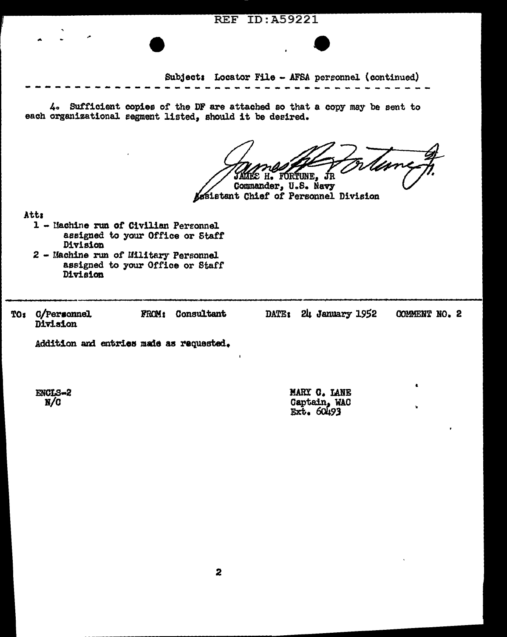... Subjects Locator File - AFSA personnel (continued) ~-~-~---~-----~----~-~~----~~~----------~ 4o Sufficient copies of the DF are attached so that a copy may be sent to each organizational segment listed, should it be deeired. S H. FORTUNE Commander, U.S. Navy Assistant Chief of Personnel Division Atta 1 - Uachine run or Civilian Pereonnel assigned to your Office or Staff Division 2 - Machine run of Military Personnel assigned to your Office or Staff Division TOs O/Peraonnel FROM1 Consultant DATE: 24 January 1952 COMMENT NO. 2 Division Addition and entries made as requested.

**REF ID: A59221** 

ENCLS•2 N/O

MARY **C.** LANE Gaptain, wad<br>Ext. 60493

•